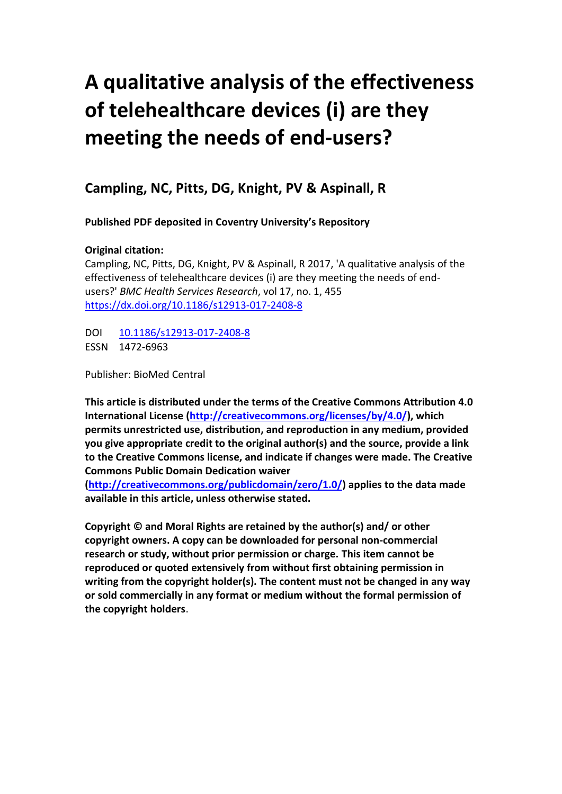# **A qualitative analysis of the effectiveness of telehealthcare devices (i) are they meeting the needs of end-users?**

# **Campling, NC, Pitts, DG, Knight, PV & Aspinall, R**

**Published PDF deposited in Coventry University's Repository**

# **Original citation:**

Campling, NC, Pitts, DG, Knight, PV & Aspinall, R 2017, 'A qualitative analysis of the effectiveness of telehealthcare devices (i) are they meeting the needs of endusers?' *BMC Health Services Research*, vol 17, no. 1, 455 [https://dx.doi.org/10.1186/s12913-017-2408-8](https://dx.doi.org/%5bDOI%5d)

DOI [10.1186/s12913-017-2408-8](http://dx.doi.org/10.1186/s12913-017-2408-8) ESSN 1472-6963

Publisher: BioMed Central

**This article is distributed under the terms of the Creative Commons Attribution 4.0 International License [\(http://creativecommons.org/licenses/by/4.0/\)](http://creativecommons.org/licenses/by/4.0/), which permits unrestricted use, distribution, and reproduction in any medium, provided you give appropriate credit to the original author(s) and the source, provide a link to the Creative Commons license, and indicate if changes were made. The Creative Commons Public Domain Dedication waiver** 

**[\(http://creativecommons.org/publicdomain/zero/1.0/\)](http://creativecommons.org/publicdomain/zero/1.0/) applies to the data made available in this article, unless otherwise stated.**

**Copyright © and Moral Rights are retained by the author(s) and/ or other copyright owners. A copy can be downloaded for personal non-commercial research or study, without prior permission or charge. This item cannot be reproduced or quoted extensively from without first obtaining permission in writing from the copyright holder(s). The content must not be changed in any way or sold commercially in any format or medium without the formal permission of the copyright holders**.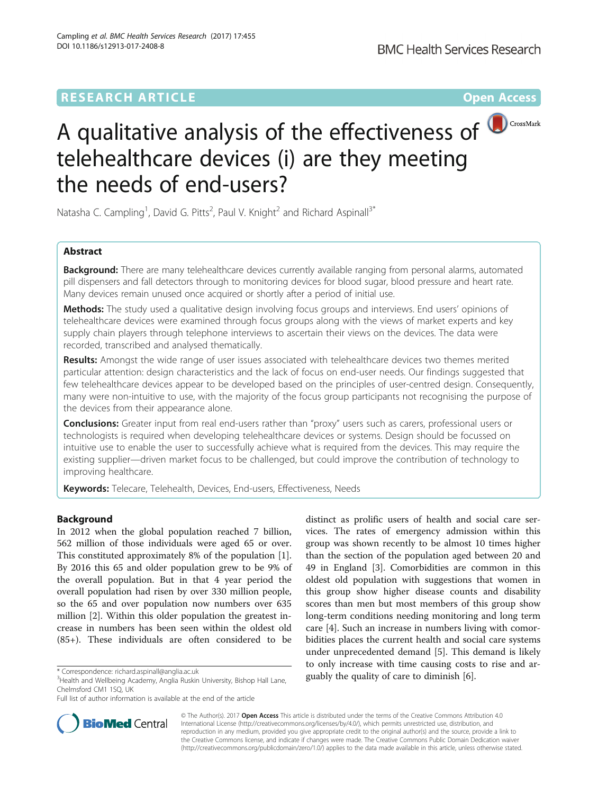# **RESEARCH ARTICLE Example 2018 12:00 Department of the Contract Open Access**



# A qualitative analysis of the effectiveness of telehealthcare devices (i) are they meeting the needs of end-users?

Natasha C. Campling<sup>1</sup>, David G. Pitts<sup>2</sup>, Paul V. Knight<sup>2</sup> and Richard Aspinall<sup>3\*</sup>

# Abstract

**Background:** There are many telehealthcare devices currently available ranging from personal alarms, automated pill dispensers and fall detectors through to monitoring devices for blood sugar, blood pressure and heart rate. Many devices remain unused once acquired or shortly after a period of initial use.

Methods: The study used a qualitative design involving focus groups and interviews. End users' opinions of telehealthcare devices were examined through focus groups along with the views of market experts and key supply chain players through telephone interviews to ascertain their views on the devices. The data were recorded, transcribed and analysed thematically.

Results: Amongst the wide range of user issues associated with telehealthcare devices two themes merited particular attention: design characteristics and the lack of focus on end-user needs. Our findings suggested that few telehealthcare devices appear to be developed based on the principles of user-centred design. Consequently, many were non-intuitive to use, with the majority of the focus group participants not recognising the purpose of the devices from their appearance alone.

**Conclusions:** Greater input from real end-users rather than "proxy" users such as carers, professional users or technologists is required when developing telehealthcare devices or systems. Design should be focussed on intuitive use to enable the user to successfully achieve what is required from the devices. This may require the existing supplier—driven market focus to be challenged, but could improve the contribution of technology to improving healthcare.

Keywords: Telecare, Telehealth, Devices, End-users, Effectiveness, Needs

# Background

In 2012 when the global population reached 7 billion, 562 million of those individuals were aged 65 or over. This constituted approximately 8% of the population [\[1](#page-9-0)]. By 2016 this 65 and older population grew to be 9% of the overall population. But in that 4 year period the overall population had risen by over 330 million people, so the 65 and over population now numbers over 635 million [\[2](#page-9-0)]. Within this older population the greatest increase in numbers has been seen within the oldest old (85+). These individuals are often considered to be

distinct as prolific users of health and social care services. The rates of emergency admission within this group was shown recently to be almost 10 times higher than the section of the population aged between 20 and 49 in England [[3\]](#page-9-0). Comorbidities are common in this oldest old population with suggestions that women in this group show higher disease counts and disability scores than men but most members of this group show long-term conditions needing monitoring and long term care [[4\]](#page-9-0). Such an increase in numbers living with comorbidities places the current health and social care systems under unprecedented demand [[5\]](#page-9-0). This demand is likely to only increase with time causing costs to rise and arguably the quality of care to diminish [\[6](#page-9-0)]. \* Correspondence: [richard.aspinall@anglia.ac.uk](mailto:richard.aspinall@anglia.ac.uk) <sup>3</sup>



© The Author(s). 2017 **Open Access** This article is distributed under the terms of the Creative Commons Attribution 4.0 International License [\(http://creativecommons.org/licenses/by/4.0/](http://creativecommons.org/licenses/by/4.0/)), which permits unrestricted use, distribution, and reproduction in any medium, provided you give appropriate credit to the original author(s) and the source, provide a link to the Creative Commons license, and indicate if changes were made. The Creative Commons Public Domain Dedication waiver [\(http://creativecommons.org/publicdomain/zero/1.0/](http://creativecommons.org/publicdomain/zero/1.0/)) applies to the data made available in this article, unless otherwise stated.

<sup>&</sup>lt;sup>3</sup>Health and Wellbeing Academy, Anglia Ruskin University, Bishop Hall Lane, Chelmsford CM1 1SQ, UK

Full list of author information is available at the end of the article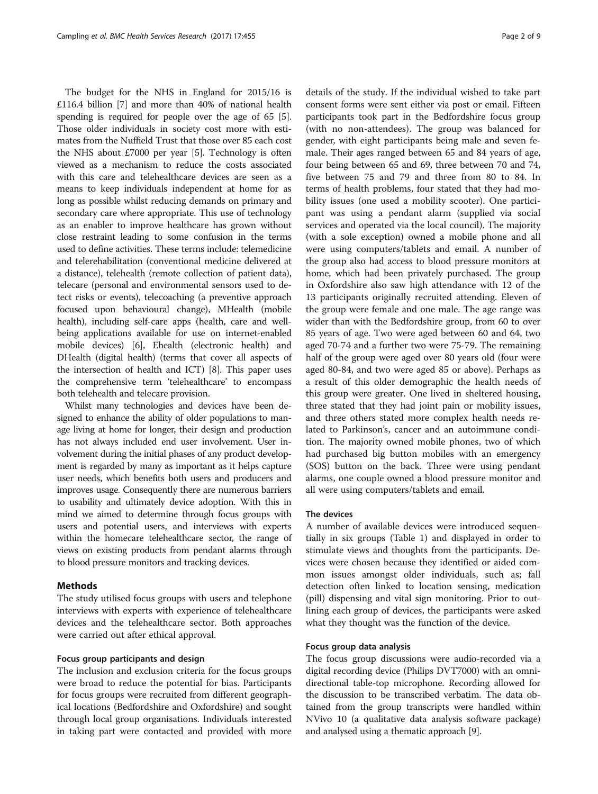The budget for the NHS in England for 2015/16 is £116.4 billion [\[7](#page-9-0)] and more than 40% of national health spending is required for people over the age of 65 [[5](#page-9-0)]. Those older individuals in society cost more with estimates from the Nuffield Trust that those over 85 each cost the NHS about £7000 per year [[5\]](#page-9-0). Technology is often viewed as a mechanism to reduce the costs associated with this care and telehealthcare devices are seen as a means to keep individuals independent at home for as long as possible whilst reducing demands on primary and secondary care where appropriate. This use of technology as an enabler to improve healthcare has grown without close restraint leading to some confusion in the terms used to define activities. These terms include: telemedicine and telerehabilitation (conventional medicine delivered at a distance), telehealth (remote collection of patient data), telecare (personal and environmental sensors used to detect risks or events), telecoaching (a preventive approach focused upon behavioural change), MHealth (mobile health), including self-care apps (health, care and wellbeing applications available for use on internet-enabled mobile devices) [[6](#page-9-0)], Ehealth (electronic health) and DHealth (digital health) (terms that cover all aspects of the intersection of health and ICT) [\[8\]](#page-9-0). This paper uses the comprehensive term 'telehealthcare' to encompass both telehealth and telecare provision.

Whilst many technologies and devices have been designed to enhance the ability of older populations to manage living at home for longer, their design and production has not always included end user involvement. User involvement during the initial phases of any product development is regarded by many as important as it helps capture user needs, which benefits both users and producers and improves usage. Consequently there are numerous barriers to usability and ultimately device adoption. With this in mind we aimed to determine through focus groups with users and potential users, and interviews with experts within the homecare telehealthcare sector, the range of views on existing products from pendant alarms through to blood pressure monitors and tracking devices.

#### Methods

The study utilised focus groups with users and telephone interviews with experts with experience of telehealthcare devices and the telehealthcare sector. Both approaches were carried out after ethical approval.

#### Focus group participants and design

The inclusion and exclusion criteria for the focus groups were broad to reduce the potential for bias. Participants for focus groups were recruited from different geographical locations (Bedfordshire and Oxfordshire) and sought through local group organisations. Individuals interested in taking part were contacted and provided with more

details of the study. If the individual wished to take part consent forms were sent either via post or email. Fifteen participants took part in the Bedfordshire focus group (with no non-attendees). The group was balanced for gender, with eight participants being male and seven female. Their ages ranged between 65 and 84 years of age, four being between 65 and 69, three between 70 and 74, five between 75 and 79 and three from 80 to 84. In terms of health problems, four stated that they had mobility issues (one used a mobility scooter). One participant was using a pendant alarm (supplied via social services and operated via the local council). The majority (with a sole exception) owned a mobile phone and all were using computers/tablets and email. A number of the group also had access to blood pressure monitors at home, which had been privately purchased. The group in Oxfordshire also saw high attendance with 12 of the 13 participants originally recruited attending. Eleven of the group were female and one male. The age range was wider than with the Bedfordshire group, from 60 to over 85 years of age. Two were aged between 60 and 64, two aged 70-74 and a further two were 75-79. The remaining half of the group were aged over 80 years old (four were aged 80-84, and two were aged 85 or above). Perhaps as a result of this older demographic the health needs of this group were greater. One lived in sheltered housing, three stated that they had joint pain or mobility issues, and three others stated more complex health needs related to Parkinson's, cancer and an autoimmune condition. The majority owned mobile phones, two of which had purchased big button mobiles with an emergency (SOS) button on the back. Three were using pendant alarms, one couple owned a blood pressure monitor and all were using computers/tablets and email.

### The devices

A number of available devices were introduced sequentially in six groups (Table [1\)](#page-3-0) and displayed in order to stimulate views and thoughts from the participants. Devices were chosen because they identified or aided common issues amongst older individuals, such as; fall detection often linked to location sensing, medication (pill) dispensing and vital sign monitoring. Prior to outlining each group of devices, the participants were asked what they thought was the function of the device.

#### Focus group data analysis

The focus group discussions were audio-recorded via a digital recording device (Philips DVT7000) with an omnidirectional table-top microphone. Recording allowed for the discussion to be transcribed verbatim. The data obtained from the group transcripts were handled within NVivo 10 (a qualitative data analysis software package) and analysed using a thematic approach [[9\]](#page-9-0).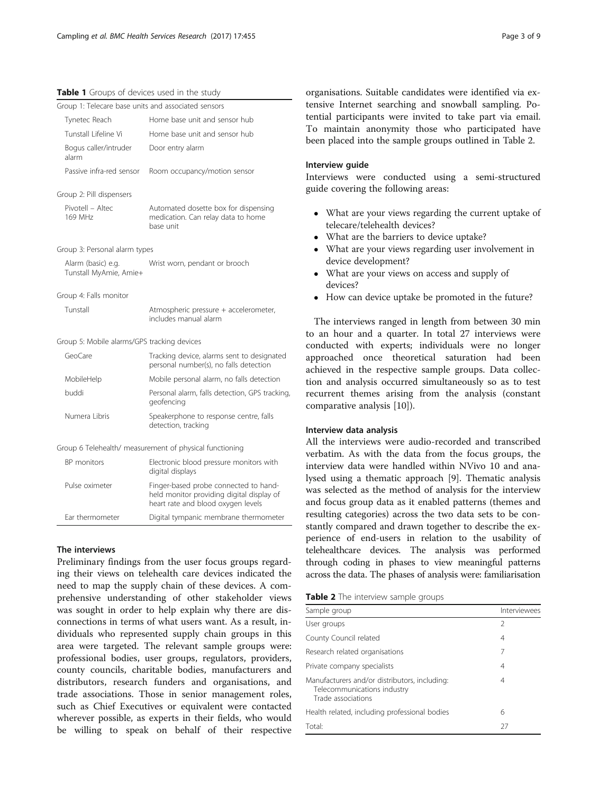#### <span id="page-3-0"></span>Table 1 Groups of devices used in the study

| Group 1: Telecare base units and associated sensors |                                                                                                                          |  |
|-----------------------------------------------------|--------------------------------------------------------------------------------------------------------------------------|--|
| Tynetec Reach                                       | Home base unit and sensor hub                                                                                            |  |
| Tunstall Lifeline Vi                                | Home base unit and sensor hub                                                                                            |  |
| Bogus caller/intruder<br>alarm                      | Door entry alarm                                                                                                         |  |
| Passive infra-red sensor                            | Room occupancy/motion sensor                                                                                             |  |
| Group 2: Pill dispensers                            |                                                                                                                          |  |
| Pivotell - Altec<br>169 MHz                         | Automated dosette box for dispensing<br>medication. Can relay data to home<br>base unit                                  |  |
| Group 3: Personal alarm types                       |                                                                                                                          |  |
| Alarm (basic) e.g.<br>Tunstall MyAmie, Amie+        | Wrist worn, pendant or brooch                                                                                            |  |
| Group 4: Falls monitor                              |                                                                                                                          |  |
| Tunstall                                            | Atmospheric pressure + accelerometer,<br>includes manual alarm                                                           |  |
| Group 5: Mobile alarms/GPS tracking devices         |                                                                                                                          |  |
| GeoCare                                             | Tracking device, alarms sent to designated<br>personal number(s), no falls detection                                     |  |
| MobileHelp                                          | Mobile personal alarm, no falls detection                                                                                |  |
| buddi                                               | Personal alarm, falls detection, GPS tracking<br>geofencing                                                              |  |
| Numera Libris                                       | Speakerphone to response centre, falls<br>detection, tracking                                                            |  |
|                                                     | Group 6 Telehealth/ measurement of physical functioning                                                                  |  |
| <b>BP</b> monitors                                  | Electronic blood pressure monitors with<br>digital displays                                                              |  |
| Pulse oximeter                                      | Finger-based probe connected to hand-<br>held monitor providing digital display of<br>heart rate and blood oxygen levels |  |
| Far thermometer                                     | Digital tympanic membrane thermometer                                                                                    |  |

#### The interviews

Preliminary findings from the user focus groups regarding their views on telehealth care devices indicated the need to map the supply chain of these devices. A comprehensive understanding of other stakeholder views was sought in order to help explain why there are disconnections in terms of what users want. As a result, individuals who represented supply chain groups in this area were targeted. The relevant sample groups were: professional bodies, user groups, regulators, providers, county councils, charitable bodies, manufacturers and distributors, research funders and organisations, and trade associations. Those in senior management roles, such as Chief Executives or equivalent were contacted wherever possible, as experts in their fields, who would be willing to speak on behalf of their respective

organisations. Suitable candidates were identified via extensive Internet searching and snowball sampling. Potential participants were invited to take part via email. To maintain anonymity those who participated have been placed into the sample groups outlined in Table 2.

#### Interview guide

Interviews were conducted using a semi-structured guide covering the following areas:

- What are your views regarding the current uptake of telecare/telehealth devices?
- What are the barriers to device uptake?
- What are your views regarding user involvement in device development?
- What are your views on access and supply of devices?
- How can device uptake be promoted in the future?

The interviews ranged in length from between 30 min to an hour and a quarter. In total 27 interviews were conducted with experts; individuals were no longer approached once theoretical saturation had been achieved in the respective sample groups. Data collection and analysis occurred simultaneously so as to test recurrent themes arising from the analysis (constant comparative analysis [\[10\]](#page-9-0)).

#### Interview data analysis

All the interviews were audio-recorded and transcribed verbatim. As with the data from the focus groups, the interview data were handled within NVivo 10 and analysed using a thematic approach [[9](#page-9-0)]. Thematic analysis was selected as the method of analysis for the interview and focus group data as it enabled patterns (themes and resulting categories) across the two data sets to be constantly compared and drawn together to describe the experience of end-users in relation to the usability of telehealthcare devices. The analysis was performed through coding in phases to view meaningful patterns across the data. The phases of analysis were: familiarisation

| Table 2 The interview sample groups |  |  |  |  |
|-------------------------------------|--|--|--|--|
|-------------------------------------|--|--|--|--|

| Sample group                                                                                       | Interviewees  |
|----------------------------------------------------------------------------------------------------|---------------|
| User groups                                                                                        | $\mathcal{P}$ |
| County Council related                                                                             | 4             |
| Research related organisations                                                                     | 7             |
| Private company specialists                                                                        | 4             |
| Manufacturers and/or distributors, including:<br>Telecommunications industry<br>Trade associations | 4             |
| Health related, including professional bodies                                                      | 6             |
| Total:                                                                                             | 27            |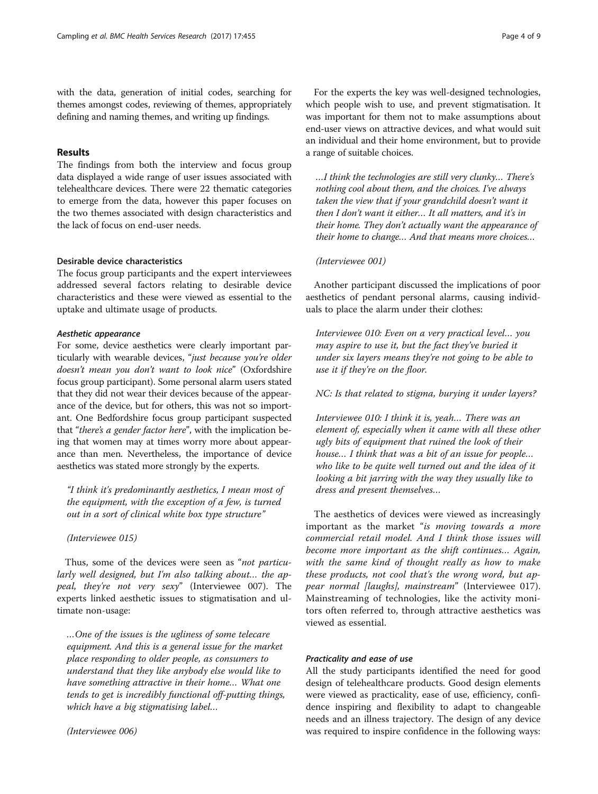with the data, generation of initial codes, searching for themes amongst codes, reviewing of themes, appropriately defining and naming themes, and writing up findings.

## Results

The findings from both the interview and focus group data displayed a wide range of user issues associated with telehealthcare devices. There were 22 thematic categories to emerge from the data, however this paper focuses on the two themes associated with design characteristics and the lack of focus on end-user needs.

#### Desirable device characteristics

The focus group participants and the expert interviewees addressed several factors relating to desirable device characteristics and these were viewed as essential to the uptake and ultimate usage of products.

#### Aesthetic appearance

For some, device aesthetics were clearly important particularly with wearable devices, "just because you're older doesn't mean you don't want to look nice" (Oxfordshire focus group participant). Some personal alarm users stated that they did not wear their devices because of the appearance of the device, but for others, this was not so important. One Bedfordshire focus group participant suspected that "there's a gender factor here", with the implication being that women may at times worry more about appearance than men. Nevertheless, the importance of device aesthetics was stated more strongly by the experts.

"I think it's predominantly aesthetics, I mean most of the equipment, with the exception of a few, is turned out in a sort of clinical white box type structure"

(Interviewee 015)

Thus, some of the devices were seen as "not particularly well designed, but I'm also talking about… the appeal, they're not very sexy" (Interviewee 007). The experts linked aesthetic issues to stigmatisation and ultimate non-usage:

…One of the issues is the ugliness of some telecare equipment. And this is a general issue for the market place responding to older people, as consumers to understand that they like anybody else would like to have something attractive in their home… What one tends to get is incredibly functional off-putting things, which have a big stigmatising label…

(Interviewee 006)

For the experts the key was well-designed technologies, which people wish to use, and prevent stigmatisation. It was important for them not to make assumptions about end-user views on attractive devices, and what would suit an individual and their home environment, but to provide a range of suitable choices.

…I think the technologies are still very clunky… There's nothing cool about them, and the choices. I've always taken the view that if your grandchild doesn't want it then I don't want it either… It all matters, and it's in their home. They don't actually want the appearance of their home to change… And that means more choices…

#### (Interviewee 001)

Another participant discussed the implications of poor aesthetics of pendant personal alarms, causing individuals to place the alarm under their clothes:

Interviewee 010: Even on a very practical level… you may aspire to use it, but the fact they've buried it under six layers means they're not going to be able to use it if they're on the floor.

NC: Is that related to stigma, burying it under layers?

Interviewee 010: I think it is, yeah… There was an element of, especially when it came with all these other ugly bits of equipment that ruined the look of their house… I think that was a bit of an issue for people… who like to be quite well turned out and the idea of it looking a bit jarring with the way they usually like to dress and present themselves…

The aesthetics of devices were viewed as increasingly important as the market "is moving towards a more commercial retail model. And I think those issues will become more important as the shift continues… Again, with the same kind of thought really as how to make these products, not cool that's the wrong word, but appear normal [laughs], mainstream" (Interviewee 017). Mainstreaming of technologies, like the activity monitors often referred to, through attractive aesthetics was viewed as essential.

#### Practicality and ease of use

All the study participants identified the need for good design of telehealthcare products. Good design elements were viewed as practicality, ease of use, efficiency, confidence inspiring and flexibility to adapt to changeable needs and an illness trajectory. The design of any device was required to inspire confidence in the following ways: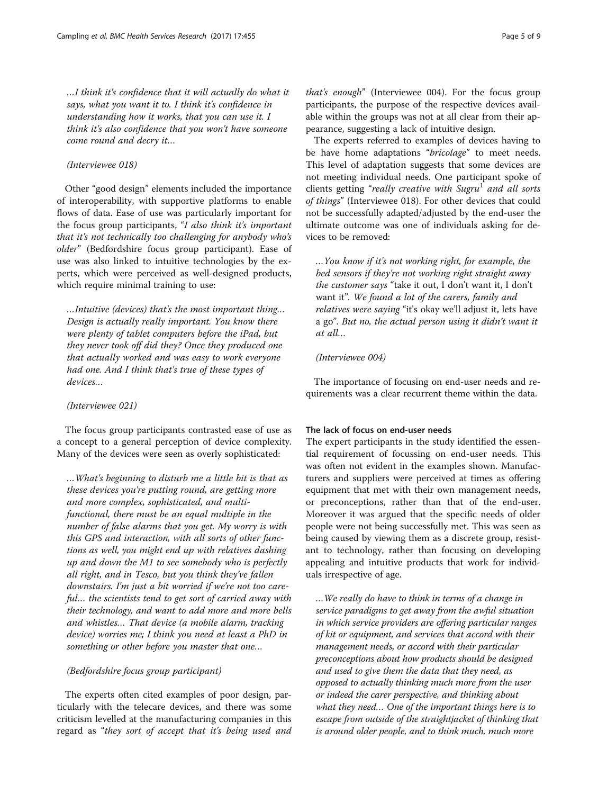…I think it's confidence that it will actually do what it says, what you want it to. I think it's confidence in understanding how it works, that you can use it. I think it's also confidence that you won't have someone come round and decry it…

#### (Interviewee 018)

Other "good design" elements included the importance of interoperability, with supportive platforms to enable flows of data. Ease of use was particularly important for the focus group participants, "I also think it's important that it's not technically too challenging for anybody who's older" (Bedfordshire focus group participant). Ease of use was also linked to intuitive technologies by the experts, which were perceived as well-designed products, which require minimal training to use:

…Intuitive (devices) that's the most important thing… Design is actually really important. You know there were plenty of tablet computers before the iPad, but they never took off did they? Once they produced one that actually worked and was easy to work everyone had one. And I think that's true of these types of devices…

(Interviewee 021)

The focus group participants contrasted ease of use as a concept to a general perception of device complexity. Many of the devices were seen as overly sophisticated:

…What's beginning to disturb me a little bit is that as these devices you're putting round, are getting more and more complex, sophisticated, and multifunctional, there must be an equal multiple in the number of false alarms that you get. My worry is with this GPS and interaction, with all sorts of other functions as well, you might end up with relatives dashing up and down the M1 to see somebody who is perfectly all right, and in Tesco, but you think they've fallen downstairs. I'm just a bit worried if we're not too careful… the scientists tend to get sort of carried away with their technology, and want to add more and more bells and whistles… That device (a mobile alarm, tracking device) worries me; I think you need at least a PhD in something or other before you master that one…

#### (Bedfordshire focus group participant)

The experts often cited examples of poor design, particularly with the telecare devices, and there was some criticism levelled at the manufacturing companies in this regard as "they sort of accept that it's being used and

that's enough" (Interviewee 004). For the focus group participants, the purpose of the respective devices available within the groups was not at all clear from their appearance, suggesting a lack of intuitive design.

The experts referred to examples of devices having to be have home adaptations "bricolage" to meet needs. This level of adaptation suggests that some devices are not meeting individual needs. One participant spoke of clients getting "really creative with Sugru<sup>1</sup> and all sorts of things" (Interviewee 018). For other devices that could not be successfully adapted/adjusted by the end-user the ultimate outcome was one of individuals asking for devices to be removed:

…You know if it's not working right, for example, the bed sensors if they're not working right straight away the customer says "take it out, I don't want it, I don't want it". We found a lot of the carers, family and relatives were saying "it's okay we'll adjust it, lets have a go". But no, the actual person using it didn't want it at all…

## (Interviewee 004)

The importance of focusing on end-user needs and requirements was a clear recurrent theme within the data.

## The lack of focus on end-user needs

The expert participants in the study identified the essential requirement of focussing on end-user needs. This was often not evident in the examples shown. Manufacturers and suppliers were perceived at times as offering equipment that met with their own management needs, or preconceptions, rather than that of the end-user. Moreover it was argued that the specific needs of older people were not being successfully met. This was seen as being caused by viewing them as a discrete group, resistant to technology, rather than focusing on developing appealing and intuitive products that work for individuals irrespective of age.

…We really do have to think in terms of a change in service paradigms to get away from the awful situation in which service providers are offering particular ranges of kit or equipment, and services that accord with their management needs, or accord with their particular preconceptions about how products should be designed and used to give them the data that they need, as opposed to actually thinking much more from the user or indeed the carer perspective, and thinking about what they need… One of the important things here is to escape from outside of the straightjacket of thinking that is around older people, and to think much, much more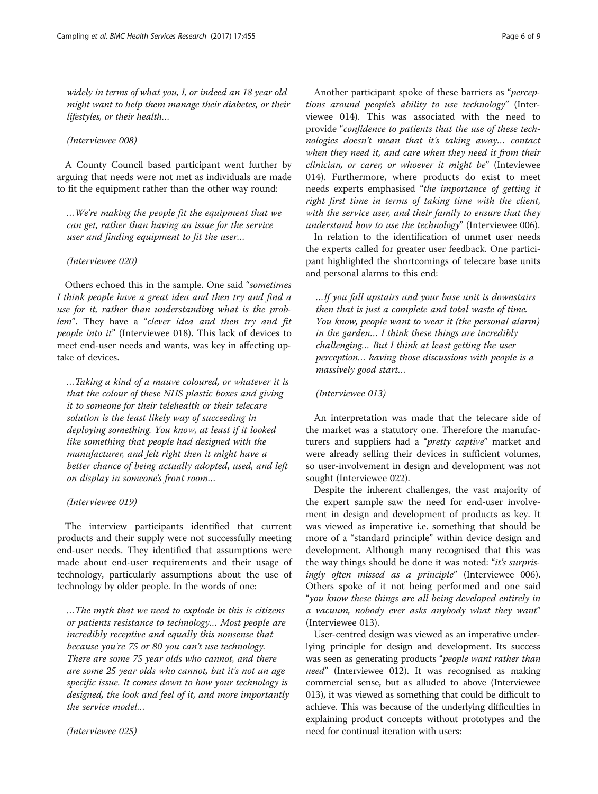widely in terms of what you, I, or indeed an 18 year old might want to help them manage their diabetes, or their lifestyles, or their health…

(Interviewee 008)

A County Council based participant went further by arguing that needs were not met as individuals are made to fit the equipment rather than the other way round:

…We're making the people fit the equipment that we can get, rather than having an issue for the service user and finding equipment to fit the user…

#### (Interviewee 020)

Others echoed this in the sample. One said "sometimes I think people have a great idea and then try and find a use for it, rather than understanding what is the problem". They have a "clever idea and then try and fit people into it" (Interviewee 018). This lack of devices to meet end-user needs and wants, was key in affecting uptake of devices.

…Taking a kind of a mauve coloured, or whatever it is that the colour of these NHS plastic boxes and giving it to someone for their telehealth or their telecare solution is the least likely way of succeeding in deploying something. You know, at least if it looked like something that people had designed with the manufacturer, and felt right then it might have a better chance of being actually adopted, used, and left on display in someone's front room…

#### (Interviewee 019)

The interview participants identified that current products and their supply were not successfully meeting end-user needs. They identified that assumptions were made about end-user requirements and their usage of technology, particularly assumptions about the use of technology by older people. In the words of one:

…The myth that we need to explode in this is citizens or patients resistance to technology… Most people are incredibly receptive and equally this nonsense that because you're 75 or 80 you can't use technology. There are some 75 year olds who cannot, and there are some 25 year olds who cannot, but it's not an age specific issue. It comes down to how your technology is designed, the look and feel of it, and more importantly the service model…

(Interviewee 025)

Another participant spoke of these barriers as "perceptions around people's ability to use technology" (Interviewee 014). This was associated with the need to provide "confidence to patients that the use of these technologies doesn't mean that it's taking away… contact when they need it, and care when they need it from their clinician, or carer, or whoever it might be" (Inteviewee 014). Furthermore, where products do exist to meet needs experts emphasised "the importance of getting it right first time in terms of taking time with the client, with the service user, and their family to ensure that they understand how to use the technology" (Interviewee 006).

In relation to the identification of unmet user needs the experts called for greater user feedback. One participant highlighted the shortcomings of telecare base units and personal alarms to this end:

…If you fall upstairs and your base unit is downstairs then that is just a complete and total waste of time. You know, people want to wear it (the personal alarm) in the garden… I think these things are incredibly challenging… But I think at least getting the user perception… having those discussions with people is a massively good start…

#### (Interviewee 013)

An interpretation was made that the telecare side of the market was a statutory one. Therefore the manufacturers and suppliers had a "*pretty captive*" market and were already selling their devices in sufficient volumes, so user-involvement in design and development was not sought (Interviewee 022).

Despite the inherent challenges, the vast majority of the expert sample saw the need for end-user involvement in design and development of products as key. It was viewed as imperative i.e. something that should be more of a "standard principle" within device design and development. Although many recognised that this was the way things should be done it was noted: "it's surprisingly often missed as a principle" (Interviewee 006). Others spoke of it not being performed and one said "you know these things are all being developed entirely in a vacuum, nobody ever asks anybody what they want" (Interviewee 013).

User-centred design was viewed as an imperative underlying principle for design and development. Its success was seen as generating products "people want rather than need" (Interviewee 012). It was recognised as making commercial sense, but as alluded to above (Interviewee 013), it was viewed as something that could be difficult to achieve. This was because of the underlying difficulties in explaining product concepts without prototypes and the need for continual iteration with users: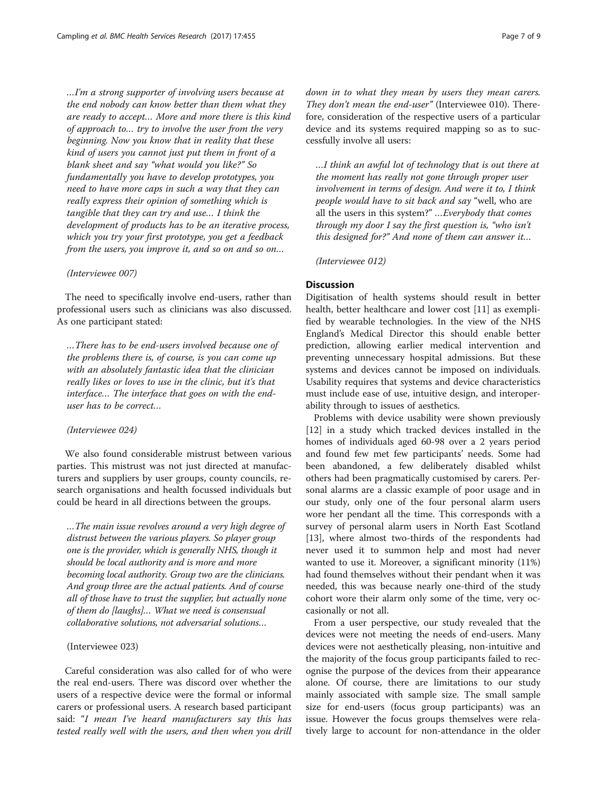…I'm a strong supporter of involving users because at the end nobody can know better than them what they are ready to accept… More and more there is this kind of approach to… try to involve the user from the very beginning. Now you know that in reality that these kind of users you cannot just put them in front of a blank sheet and say "what would you like?" So fundamentally you have to develop prototypes, you need to have more caps in such a way that they can really express their opinion of something which is tangible that they can try and use… I think the development of products has to be an iterative process, which you try your first prototype, you get a feedback from the users, you improve it, and so on and so on…

#### (Interviewee 007)

The need to specifically involve end-users, rather than professional users such as clinicians was also discussed. As one participant stated:

…There has to be end-users involved because one of the problems there is, of course, is you can come up with an absolutely fantastic idea that the clinician really likes or loves to use in the clinic, but it's that interface… The interface that goes on with the enduser has to be correct…

#### (Interviewee 024)

We also found considerable mistrust between various parties. This mistrust was not just directed at manufacturers and suppliers by user groups, county councils, research organisations and health focussed individuals but could be heard in all directions between the groups.

…The main issue revolves around a very high degree of distrust between the various players. So player group one is the provider, which is generally NHS, though it should be local authority and is more and more becoming local authority. Group two are the clinicians. And group three are the actual patients. And of course all of those have to trust the supplier, but actually none of them do [laughs]… What we need is consensual collaborative solutions, not adversarial solutions…

#### (Interviewee 023)

Careful consideration was also called for of who were the real end-users. There was discord over whether the users of a respective device were the formal or informal carers or professional users. A research based participant said: "I mean I've heard manufacturers say this has tested really well with the users, and then when you drill down in to what they mean by users they mean carers. They don't mean the end-user" (Interviewee 010). Therefore, consideration of the respective users of a particular device and its systems required mapping so as to successfully involve all users:

…I think an awful lot of technology that is out there at the moment has really not gone through proper user involvement in terms of design. And were it to, I think people would have to sit back and say "well, who are all the users in this system?" …Everybody that comes through my door I say the first question is, "who isn't this designed for?" And none of them can answer it…

(Interviewee 012)

# **Discussion**

Digitisation of health systems should result in better health, better healthcare and lower cost [\[11\]](#page-9-0) as exemplified by wearable technologies. In the view of the NHS England's Medical Director this should enable better prediction, allowing earlier medical intervention and preventing unnecessary hospital admissions. But these systems and devices cannot be imposed on individuals. Usability requires that systems and device characteristics must include ease of use, intuitive design, and interoperability through to issues of aesthetics.

Problems with device usability were shown previously [[12\]](#page-9-0) in a study which tracked devices installed in the homes of individuals aged 60-98 over a 2 years period and found few met few participants' needs. Some had been abandoned, a few deliberately disabled whilst others had been pragmatically customised by carers. Personal alarms are a classic example of poor usage and in our study, only one of the four personal alarm users wore her pendant all the time. This corresponds with a survey of personal alarm users in North East Scotland [[13\]](#page-9-0), where almost two-thirds of the respondents had never used it to summon help and most had never wanted to use it. Moreover, a significant minority (11%) had found themselves without their pendant when it was needed, this was because nearly one-third of the study cohort wore their alarm only some of the time, very occasionally or not all.

From a user perspective, our study revealed that the devices were not meeting the needs of end-users. Many devices were not aesthetically pleasing, non-intuitive and the majority of the focus group participants failed to recognise the purpose of the devices from their appearance alone. Of course, there are limitations to our study mainly associated with sample size. The small sample size for end-users (focus group participants) was an issue. However the focus groups themselves were relatively large to account for non-attendance in the older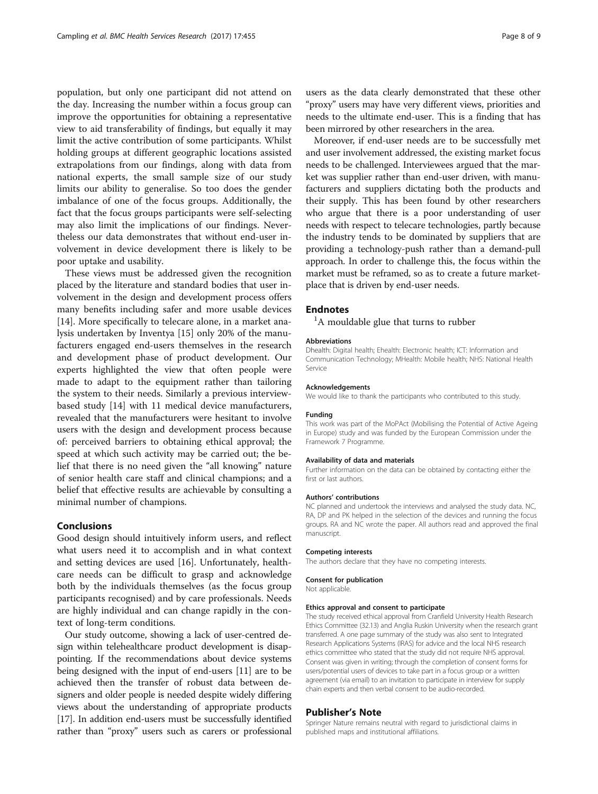population, but only one participant did not attend on the day. Increasing the number within a focus group can improve the opportunities for obtaining a representative view to aid transferability of findings, but equally it may limit the active contribution of some participants. Whilst holding groups at different geographic locations assisted extrapolations from our findings, along with data from national experts, the small sample size of our study limits our ability to generalise. So too does the gender imbalance of one of the focus groups. Additionally, the fact that the focus groups participants were self-selecting may also limit the implications of our findings. Nevertheless our data demonstrates that without end-user involvement in device development there is likely to be poor uptake and usability.

These views must be addressed given the recognition placed by the literature and standard bodies that user involvement in the design and development process offers many benefits including safer and more usable devices [[14\]](#page-9-0). More specifically to telecare alone, in a market analysis undertaken by Inventya [\[15\]](#page-9-0) only 20% of the manufacturers engaged end-users themselves in the research and development phase of product development. Our experts highlighted the view that often people were made to adapt to the equipment rather than tailoring the system to their needs. Similarly a previous interviewbased study [\[14](#page-9-0)] with 11 medical device manufacturers, revealed that the manufacturers were hesitant to involve users with the design and development process because of: perceived barriers to obtaining ethical approval; the speed at which such activity may be carried out; the belief that there is no need given the "all knowing" nature of senior health care staff and clinical champions; and a belief that effective results are achievable by consulting a minimal number of champions.

#### Conclusions

Good design should intuitively inform users, and reflect what users need it to accomplish and in what context and setting devices are used [\[16](#page-9-0)]. Unfortunately, healthcare needs can be difficult to grasp and acknowledge both by the individuals themselves (as the focus group participants recognised) and by care professionals. Needs are highly individual and can change rapidly in the context of long-term conditions.

Our study outcome, showing a lack of user-centred design within telehealthcare product development is disappointing. If the recommendations about device systems being designed with the input of end-users [\[11\]](#page-9-0) are to be achieved then the transfer of robust data between designers and older people is needed despite widely differing views about the understanding of appropriate products [[17](#page-9-0)]. In addition end-users must be successfully identified rather than "proxy" users such as carers or professional

users as the data clearly demonstrated that these other "proxy" users may have very different views, priorities and needs to the ultimate end-user. This is a finding that has been mirrored by other researchers in the area.

Moreover, if end-user needs are to be successfully met and user involvement addressed, the existing market focus needs to be challenged. Interviewees argued that the market was supplier rather than end-user driven, with manufacturers and suppliers dictating both the products and their supply. This has been found by other researchers who argue that there is a poor understanding of user needs with respect to telecare technologies, partly because the industry tends to be dominated by suppliers that are providing a technology-push rather than a demand-pull approach. In order to challenge this, the focus within the market must be reframed, so as to create a future marketplace that is driven by end-user needs.

#### **Endnotes**

<sup>1</sup>A mouldable glue that turns to rubber

#### Abbreviations

Dhealth: Digital health; Ehealth: Electronic health; ICT: Information and Communication Technology; MHealth: Mobile health; NHS: National Health Service

#### Acknowledgements

We would like to thank the participants who contributed to this study.

#### Funding

This work was part of the MoPAct (Mobilising the Potential of Active Ageing in Europe) study and was funded by the European Commission under the Framework 7 Programme.

#### Availability of data and materials

Further information on the data can be obtained by contacting either the first or last authors.

#### Authors' contributions

NC planned and undertook the interviews and analysed the study data. NC, RA, DP and PK helped in the selection of the devices and running the focus groups. RA and NC wrote the paper. All authors read and approved the final manuscript.

#### Competing interests

The authors declare that they have no competing interests.

## Consent for publication

Not applicable.

#### Ethics approval and consent to participate

The study received ethical approval from Cranfield University Health Research Ethics Committee (32.13) and Anglia Ruskin University when the research grant transferred. A one page summary of the study was also sent to Integrated Research Applications Systems (IRAS) for advice and the local NHS research ethics committee who stated that the study did not require NHS approval. Consent was given in writing; through the completion of consent forms for users/potential users of devices to take part in a focus group or a written agreement (via email) to an invitation to participate in interview for supply chain experts and then verbal consent to be audio-recorded.

#### Publisher's Note

Springer Nature remains neutral with regard to jurisdictional claims in published maps and institutional affiliations.